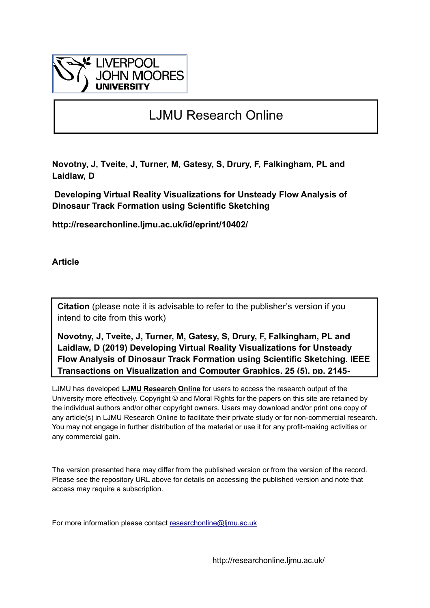

# LJMU Research Online

**Novotny, J, Tveite, J, Turner, M, Gatesy, S, Drury, F, Falkingham, PL and Laidlaw, D**

 **Developing Virtual Reality Visualizations for Unsteady Flow Analysis of Dinosaur Track Formation using Scientific Sketching**

**http://researchonline.ljmu.ac.uk/id/eprint/10402/**

**Article**

**Citation** (please note it is advisable to refer to the publisher's version if you intend to cite from this work)

**Novotny, J, Tveite, J, Turner, M, Gatesy, S, Drury, F, Falkingham, PL and Laidlaw, D (2019) Developing Virtual Reality Visualizations for Unsteady Flow Analysis of Dinosaur Track Formation using Scientific Sketching. IEEE Transactions on Visualization and Computer Graphics, 25 (5). pp. 2145-**

LJMU has developed **[LJMU Research Online](http://researchonline.ljmu.ac.uk/)** for users to access the research output of the University more effectively. Copyright © and Moral Rights for the papers on this site are retained by the individual authors and/or other copyright owners. Users may download and/or print one copy of any article(s) in LJMU Research Online to facilitate their private study or for non-commercial research. You may not engage in further distribution of the material or use it for any profit-making activities or any commercial gain.

The version presented here may differ from the published version or from the version of the record. Please see the repository URL above for details on accessing the published version and note that access may require a subscription.

For more information please contact researchonline@limu.ac.uk

http://researchonline.ljmu.ac.uk/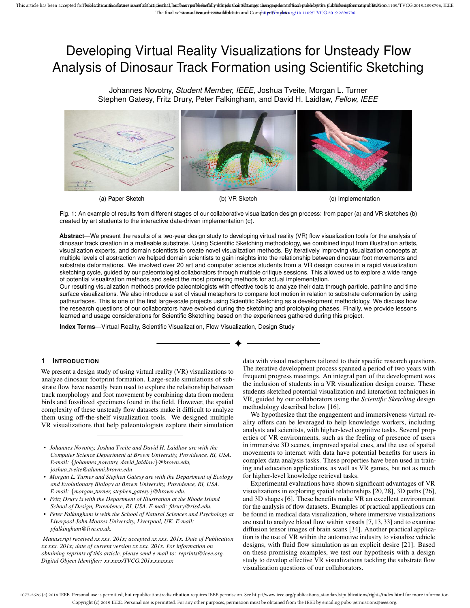# Developing Virtual Reality Visualizations for Unsteady Flow Analysis of Dinosaur Track Formation using Scientific Sketching

Johannes Novotny, *Student Member, IEEE*, Joshua Tveite, Morgan L. Turner Stephen Gatesy, Fritz Drury, Peter Falkingham, and David H. Laidlaw, *Fellow, IEEE*



(a) Paper Sketch (b) VR Sketch (c) Implementation

Fig. 1: An example of results from different stages of our collaborative visualization design process: from paper (a) and VR sketches (b) created by art students to the interactive data-driven implementation (c).

**Abstract**—We present the results of a two-year design study to developing virtual reality (VR) flow visualization tools for the analysis of dinosaur track creation in a malleable substrate. Using Scientific Sketching methodology, we combined input from illustration artists, visualization experts, and domain scientists to create novel visualization methods. By iteratively improving visualization concepts at multiple levels of abstraction we helped domain scientists to gain insights into the relationship between dinosaur foot movements and substrate deformations. We involved over 20 art and computer science students from a VR design course in a rapid visualization sketching cycle, guided by our paleontologist collaborators through multiple critique sessions. This allowed us to explore a wide range of potential visualization methods and select the most promising methods for actual implementation.

Our resulting visualization methods provide paleontologists with effective tools to analyze their data through particle, pathline and time surface visualizations. We also introduce a set of visual metaphors to compare foot motion in relation to substrate deformation by using pathsurfaces. This is one of the first large-scale projects using Scientific Sketching as a development methodology. We discuss how the research questions of our collaborators have evolved during the sketching and prototyping phases. Finally, we provide lessons learned and usage considerations for Scientific Sketching based on the experiences gathered during this project.

**Index Terms**—Virtual Reality, Scientific Visualization, Flow Visualization, Design Study

## **1 INTRODUCTION**

We present a design study of using virtual reality (VR) visualizations to analyze dinosaur footprint formation. Large-scale simulations of substrate flow have recently been used to explore the relationship between track morphology and foot movement by combining data from modern birds and fossilized specimens found in the field. However, the spatial complexity of these unsteady flow datasets make it difficult to analyze them using off-the-shelf visualization tools. We designed multiple VR visualizations that help paleontologists explore their simulation

- *Johannes Novotny, Joshua Tveite and David H. Laidlaw are with the Computer Science Department at Brown University, Providence, RI, USA. E-mail:* {*johannes novotny, david laidlaw*}*@brown.edu, joshua tveite@alumni.brown.edu*
- *Morgan L. Turner and Stephen Gatesy are with the Department of Ecology and Evolutionary Biology at Brown University, Providence, RI, USA. E-mail:* {*morgan turner, stephen gatesy*}*@brown.edu.*
- *Fritz Drury is with the Department of Illustration at the Rhode Island School of Design, Providence, RI, USA. E-mail: fdrury@risd.edu.*
- *• Peter Falkingham is with the School of Natural Sciences and Psychology at Liverpool John Moores University, Liverpool, UK. E-mail: pfalkingham@live.co.uk.*

*Manuscript received xx xxx. 201x; accepted xx xxx. 201x. Date of Publication xx xxx. 201x; date of current version xx xxx. 201x. For information on obtaining reprints of this article, please send e-mail to: reprints@ieee.org. Digital Object Identifier: xx.xxxx/TVCG.201x.xxxxxxx*

data with visual metaphors tailored to their specific research questions. The iterative development process spanned a period of two years with frequent progress meetings. An integral part of the development was the inclusion of students in a VR visualization design course. These students sketched potential visualization and interaction techniques in VR, guided by our collaborators using the *Scientific Sketching* design methodology described below [16].

We hypothesize that the engagement and immersiveness virtual reality offers can be leveraged to help knowledge workers, including analysts and scientists, with higher-level cognitive tasks. Several properties of VR environments, such as the feeling of presence of users in immersive 3D scenes, improved spatial cues, and the use of spatial movements to interact with data have potential benefits for users in complex data analysis tasks. These properties have been used in training and education applications, as well as VR games, but not as much for higher-level knowledge retrieval tasks.

Experimental evaluations have shown significant advantages of VR visualizations in exploring spatial relationships [20, 28], 3D paths [26], and 3D shapes [6]. These benefits make VR an excellent environment for the analysis of flow datasets. Examples of practical applications can be found in medical data visualization, where immersive visualizations are used to analyze blood flow within vessels [7, 13, 33] and to examine diffusion tensor images of brain scans [34]. Another practical application is the use of VR within the automotive industry to visualize vehicle designs, with fluid flow simulation as an explicit desire [21]. Based on these promising examples, we test our hypothesis with a design study to develop effective VR visualizations tackling the substrate flow visualization questions of our collaborators.

1077-2626 (c) 2018 IEEE. Personal use is permitted, but republication/redistribution requires IEEE permission. See http://www.ieee.org/publications\_standards/publications/rights/index.html for more information. Copyright (c) 2019 IEEE. Personal use is permitted. For any other purposes, permission must be obtained from the IEEE by emailing pubs-permissions@ieee.org.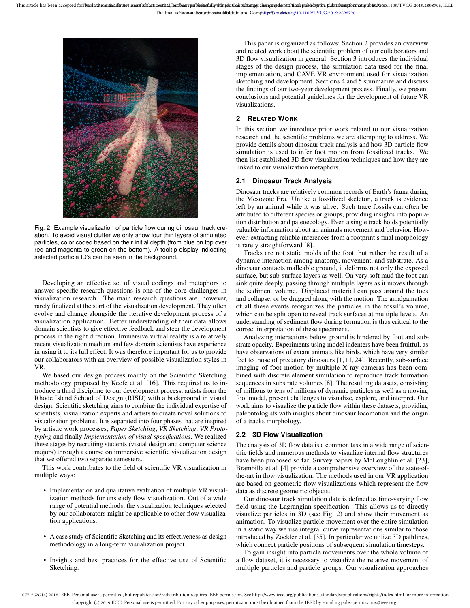

Fig. 2: Example visualization of particle flow during dinosaur track creation. To avoid visual clutter we only show four thin layers of simulated particles, color coded based on their initial depth (from blue on top over red and magenta to green on the bottom). A tooltip display indicating selected particle ID's can be seen in the background.

Developing an effective set of visual codings and metaphors to answer specific research questions is one of the core challenges in visualization research. The main research questions are, however, rarely finalized at the start of the visualization development. They often evolve and change alongside the iterative development process of a visualization application. Better understanding of their data allows domain scientists to give effective feedback and steer the development process in the right direction. Immersive virtual reality is a relatively recent visualization medium and few domain scientists have experience in using it to its full effect. It was therefore important for us to provide our collaborators with an overview of possible visualization styles in VR.

We based our design process mainly on the Scientific Sketching methodology proposed by Keefe et al. [16]. This required us to introduce a third discipline to our development process, artists from the Rhode Island School of Design (RISD) with a background in visual design. Scientific sketching aims to combine the individual expertise of scientists, visualization experts and artists to create novel solutions to visualization problems. It is separated into four phases that are inspired by artistic work processes; *Paper Sketching*, *VR Sketching*, *VR Prototyping* and finally *Implementation of visual specifications*. We realized these stages by recruiting students (visual design and computer science majors) through a course on immersive scientific visualization design that we offered two separate semesters.

This work contributes to the field of scientific VR visualization in multiple ways:

- Implementation and qualitative evaluation of multiple VR visualization methods for unsteady flow visualization. Out of a wide range of potential methods, the visualization techniques selected by our collaborators might be applicable to other flow visualization applications.
- A case study of Scientific Sketching and its effectiveness as design methodology in a long-term visualization project.
- Insights and best practices for the effective use of Scientific Sketching.

This paper is organized as follows: Section 2 provides an overview and related work about the scientific problem of our collaborators and 3D flow visualization in general. Section 3 introduces the individual stages of the design process, the simulation data used for the final implementation, and CAVE VR environment used for visualization sketching and development. Sections 4 and 5 summarize and discuss the findings of our two-year development process. Finally, we present conclusions and potential guidelines for the development of future VR visualizations.

## **2 RELATED WORK**

In this section we introduce prior work related to our visualization research and the scientific problems we are attempting to address. We provide details about dinosaur track analysis and how 3D particle flow simulation is used to infer foot motion from fossilized tracks. We then list established 3D flow visualization techniques and how they are linked to our visualization metaphors.

## **2.1 Dinosaur Track Analysis**

Dinosaur tracks are relatively common records of Earth's fauna during the Mesozoic Era. Unlike a fossilized skeleton, a track is evidence left by an animal while it was alive. Such trace fossils can often be attributed to different species or groups, providing insights into population distribution and paleoecology. Even a single track holds potentially valuable information about an animals movement and behavior. However, extracting reliable inferences from a footprint's final morphology is rarely straightforward [8].

Tracks are not static molds of the foot, but rather the result of a dynamic interaction among anatomy, movement, and substrate. As a dinosaur contacts malleable ground, it deforms not only the exposed surface, but sub-surface layers as well. On very soft mud the foot can sink quite deeply, passing through multiple layers as it moves through the sediment volume. Displaced material can pass around the toes and collapse, or be dragged along with the motion. The amalgamation of all these events reorganizes the particles in the fossil's volume, which can be split open to reveal track surfaces at multiple levels. An understanding of sediment flow during formation is thus critical to the correct interpretation of these specimens.

Analyzing interactions below ground is hindered by foot and substrate opacity. Experiments using model indenters have been fruitful, as have observations of extant animals like birds, which have very similar feet to those of predatory dinosaurs [1, 11, 24]. Recently, sub-surface imaging of foot motion by multiple X-ray cameras has been combined with discrete element simulation to reproduce track formation sequences in substrate volumes [8]. The resulting datasets, consisting of millions to tens of millions of dynamic particles as well as a moving foot model, present challenges to visualize, explore, and interpret. Our work aims to visualize the particle flow within these datasets, providing paleontologists with insights about dinosaur locomotion and the origin of a tracks morphology.

# **2.2 3D Flow Visualization**

The analysis of 3D flow data is a common task in a wide range of scientific fields and numerous methods to visualize internal flow structures have been proposed so far. Survey papers by McLoughlin et al. [23], Brambilla et al. [4] provide a comprehensive overview of the state-ofthe-art in flow visualization. The methods used in our VR application are based on geometric flow visualizations which represent the flow data as discrete geometric objects.

Our dinosaur track simulation data is defined as time-varying flow field using the Lagrangian specification. This allows us to directly visualize particles in 3D (see Fig. 2) and show their movement as animation. To visualize particle movement over the entire simulation in a static way we use integral curve representations similar to those introduced by Zöckler et al. [35]. In particular we utilize 3D pathlines, which connect particle positions of subsequent simulation timesteps.

To gain insight into particle movements over the whole volume of a flow dataset, it is necessary to visualize the relative movement of multiple particles and particle groups. Our visualization approaches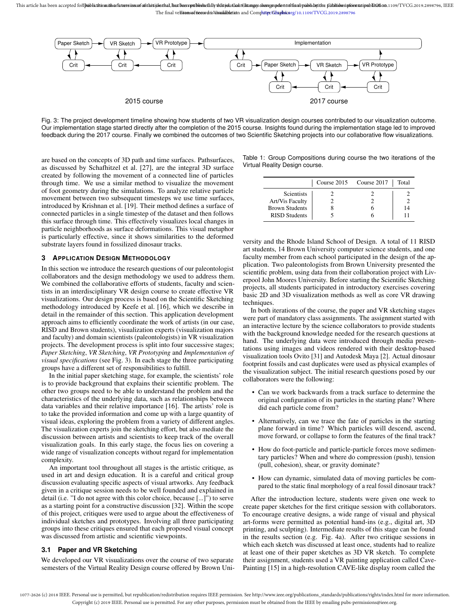

Fig. 3: The project development timeline showing how students of two VR visualization design courses contributed to our visualization outcome. Our implementation stage started directly after the completion of the 2015 course. Insights found during the implementation stage led to improved feedback during the 2017 course. Finally we combined the outcomes of two Scientific Sketching projects into our collaborative flow visualizations.

are based on the concepts of 3D path and time surfaces. Pathsurfaces, as discussed by Schafhitzel et al. [27], are the integral 3D surface created by following the movement of a connected line of particles through time. We use a similar method to visualize the movement of foot geometry during the simulations. To analyze relative particle movement between two subsequent timesteps we use time surfaces, introduced by Krishnan et al. [19]. Their method defines a surface of connected particles in a single timestep of the dataset and then follows this surface through time. This effectively visualizes local changes in particle neighborhoods as surface deformations. This visual metaphor is particularly effective, since it shows similarities to the deformed substrate layers found in fossilized dinosaur tracks.

#### **3 APPLICATION DESIGN METHODOLOGY**

In this section we introduce the research questions of our paleontologist collaborators and the design methodology we used to address them. We combined the collaborative efforts of students, faculty and scientists in an interdisciplinary VR design course to create effective VR visualizations. Our design process is based on the Scientific Sketching methodology introduced by Keefe et al. [16], which we describe in detail in the remainder of this section. This application development approach aims to efficiently coordinate the work of artists (in our case, RISD and Brown students), visualization experts (visualization majors and faculty) and domain scientists (paleontologists) in VR visualization projects. The development process is split into four successive stages; *Paper Sketching*, *VR Sketching*, *VR Prototyping* and *Implementation of visual specifications* (see Fig. 3). In each stage the three participating groups have a different set of responsibilities to fulfill.

In the initial paper sketching stage, for example, the scientists' role is to provide background that explains their scientific problem. The other two groups need to be able to understand the problem and the characteristics of the underlying data, such as relationships between data variables and their relative importance [16]. The artists' role is to take the provided information and come up with a large quantity of visual ideas, exploring the problem from a variety of different angles. The visualization experts join the sketching effort, but also mediate the discussion between artists and scientists to keep track of the overall visualization goals. In this early stage, the focus lies on covering a wide range of visualization concepts without regard for implementation complexity.

An important tool throughout all stages is the artistic critique, as used in art and design education. It is a careful and critical group discussion evaluating specific aspects of visual artworks. Any feedback given in a critique session needs to be well founded and explained in detail (i.e. "I do not agree with this color choice, because [...]") to serve as a starting point for a constructive discussion [32]. Within the scope of this project, critiques were used to argue about the effectiveness of individual sketches and prototypes. Involving all three participating groups into these critiques ensured that each proposed visual concept was discussed from artistic and scientific viewpoints.

#### **3.1 Paper and VR Sketching**

We developed our VR visualizations over the course of two separate semesters of the Virtual Reality Design course offered by Brown Uni-

| Table 1: Group Compositions during course the two iterations of the |  |  |  |  |
|---------------------------------------------------------------------|--|--|--|--|
| Virtual Reality Design course.                                      |  |  |  |  |

|                        | Course 2015 Course 2017 | Total |
|------------------------|-------------------------|-------|
| Scientists             |                         |       |
| <b>Art/Vis Faculty</b> |                         |       |
| <b>Brown Students</b>  |                         | 14    |
| <b>RISD Students</b>   |                         |       |

versity and the Rhode Island School of Design. A total of 11 RISD art students, 14 Brown University computer science students, and one faculty member from each school participated in the design of the application. Two paleontologists from Brown University presented the scientific problem, using data from their collaboration project with Liverpool John Moores University. Before starting the Scientific Sketching projects, all students participated in introductory exercises covering basic 2D and 3D visualization methods as well as core VR drawing techniques.

In both iterations of the course, the paper and VR sketching stages were part of mandatory class assignments. The assignment started with an interactive lecture by the science collaborators to provide students with the background knowledge needed for the research questions at hand. The underlying data were introduced through media presentations using images and videos rendered with their desktop-based visualization tools Ovito [31] and Autodesk Maya [2]. Actual dinosaur footprint fossils and cast duplicates were used as physical examples of the visualization subject. The initial research questions posed by our collaborators were the following:

- Can we work backwards from a track surface to determine the original configuration of its particles in the starting plane? Where did each particle come from?
- Alternatively, can we trace the fate of particles in the starting plane forward in time? Which particles will descend, ascend, move forward, or collapse to form the features of the final track?
- How do foot-particle and particle-particle forces move sedimentary particles? When and where do compression (push), tension (pull, cohesion), shear, or gravity dominate?
- How can dynamic, simulated data of moving particles be compared to the static final morphology of a real fossil dinosaur track?

After the introduction lecture, students were given one week to create paper sketches for the first critique session with collaborators. To encourage creative designs, a wide range of visual and physical art-forms were permitted as potential hand-ins (e.g., digital art, 3D printing, and sculpting). Intermediate results of this stage can be found in the results section (e.g. Fig. 4a). After two critique sessions in which each sketch was discussed at least once, students had to realize at least one of their paper sketches as 3D VR sketch. To complete their assignment, students used a VR painting application called Cave-Painting [15] in a high-resolution CAVE-like display room called the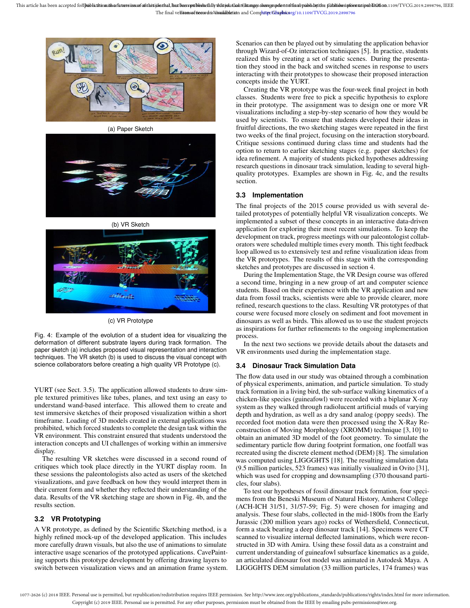

(a) Paper Sketch





(c) VR Prototype

Fig. 4: Example of the evolution of a student idea for visualizing the deformation of different substrate layers during track formation. The paper sketch (a) includes proposed visual representation and interaction techniques. The VR sketch (b) is used to discuss the visual concept with science collaborators before creating a high quality VR Prototype (c).

YURT (see Sect. 3.5). The application allowed students to draw simple textured primitives like tubes, planes, and text using an easy to understand wand-based interface. This allowed them to create and test immersive sketches of their proposed visualization within a short timeframe. Loading of 3D models created in external applications was prohibited, which forced students to complete the design task within the VR environment. This constraint ensured that students understood the interaction concepts and UI challenges of working within an immersive display.

The resulting VR sketches were discussed in a second round of critiques which took place directly in the YURT display room. In these sessions the paleontologists also acted as users of the sketched visualizations, and gave feedback on how they would interpret them in their current form and whether they reflected their understanding of the data. Results of the VR sketching stage are shown in Fig. 4b, and the results section.

## **3.2 VR Prototyping**

A VR prototype, as defined by the Scientific Sketching method, is a highly refined mock-up of the developed application. This includes more carefully drawn visuals, but also the use of animations to simulate interactive usage scenarios of the prototyped applications. CavePainting supports this prototype development by offering drawing layers to switch between visualization views and an animation frame system.

Scenarios can then be played out by simulating the application behavior through Wizard-of-Oz interaction techniques [5]. In practice, students realized this by creating a set of static scenes. During the presentation they stood in the back and switched scenes in response to users interacting with their prototypes to showcase their proposed interaction concepts inside the YURT.

Creating the VR prototype was the four-week final project in both classes. Students were free to pick a specific hypothesis to explore in their prototype. The assignment was to design one or more VR visualizations including a step-by-step scenario of how they would be used by scientists. To ensure that students developed their ideas in fruitful directions, the two sketching stages were repeated in the first two weeks of the final project, focusing on the interaction storyboard. Critique sessions continued during class time and students had the option to return to earlier sketching stages (e.g. paper sketches) for idea refinement. A majority of students picked hypotheses addressing research questions in dinosaur track simulation, leading to several highquality prototypes. Examples are shown in Fig. 4c, and the results section.

## **3.3 Implementation**

The final projects of the 2015 course provided us with several detailed prototypes of potentially helpful VR visualization concepts. We implemented a subset of these concepts in an interactive data-driven application for exploring their most recent simulations. To keep the development on track, progress meetings with our paleontologist collaborators were scheduled multiple times every month. This tight feedback loop allowed us to extensively test and refine visualization ideas from the VR prototypes. The results of this stage with the corresponding sketches and prototypes are discussed in section 4.

During the Implementation Stage, the VR Design course was offered a second time, bringing in a new group of art and computer science students. Based on their experience with the VR application and new data from fossil tracks, scientists were able to provide clearer, more refined, research questions to the class. Resulting VR prototypes of that course were focused more closely on sediment and foot movement in dinosaurs as well as birds. This allowed us to use the student projects as inspirations for further refinements to the ongoing implementation process.

In the next two sections we provide details about the datasets and VR environments used during the implementation stage.

# **3.4 Dinosaur Track Simulation Data**

The flow data used in our study was obtained through a combination of physical experiments, animation, and particle simulation. To study track formation in a living bird, the sub-surface walking kinematics of a chicken-like species (guineafowl) were recorded with a biplanar X-ray system as they walked through radiolucent artificial muds of varying depth and hydration, as well as a dry sand analog (poppy seeds). The recorded foot motion data were then processed using the X-Ray Reconstruction of Moving Morphology (XROMM) technique [3, 10] to obtain an animated 3D model of the foot geometry. To simulate the sedimentary particle flow during footprint formation, one footfall was recreated using the discrete element method (DEM) [8]. The simulation was computed using LIGGGHTS [18]. The resulting simulation data (9.5 million particles, 523 frames) was initially visualized in Ovito [31], which was used for cropping and downsampling (370 thousand particles, four slabs).

To test our hypotheses of fossil dinosaur track formation, four specimens from the Beneski Museum of Natural History, Amherst College (ACH-ICH 31/51, 31/57-59; Fig. 5) were chosen for imaging and analysis. These four slabs, collected in the mid-1800s from the Early Jurassic (200 million years ago) rocks of Wethersfield, Connecticut, form a stack bearing a deep dinosaur track [14]. Specimens were CT scanned to visualize internal deflected laminations, which were reconstructed in 3D with Amira. Using these fossil data as a constraint and current understanding of guineafowl subsurface kinematics as a guide, an articulated dinosaur foot model was animated in Autodesk Maya. A LIGGGHTS DEM simulation (33 million particles, 174 frames) was

1077-2626 (c) 2018 IEEE. Personal use is permitted, but republication/redistribution requires IEEE permission. See http://www.ieee.org/publications\_standards/publications/rights/index.html for more information. Copyright (c) 2019 IEEE. Personal use is permitted. For any other purposes, permission must be obtained from the IEEE by emailing pubs-permissions@ieee.org.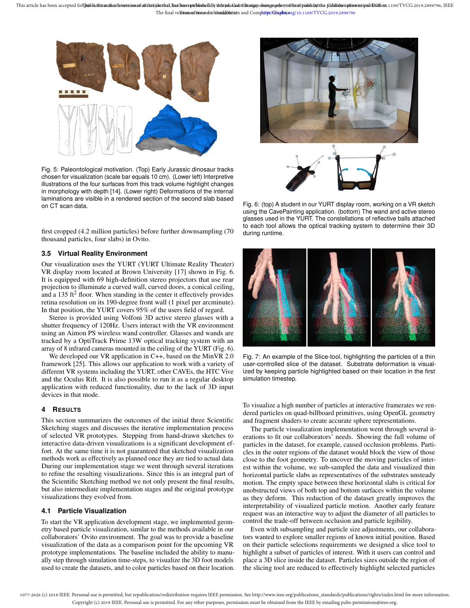

Fig. 5: Paleontological motivation. (Top) Early Jurassic dinosaur tracks chosen for visualization (scale bar equals 10 cm). (Lower left) Interpretive illustrations of the four surfaces from this track volume highlight changes in morphology with depth [14]. (Lower right) Deformations of the internal laminations are visible in a rendered section of the second slab based on CT scan data.

first cropped (4.2 million particles) before further downsampling (70 thousand particles, four slabs) in Ovito.

## **3.5 Virtual Reality Environment**

Our visualization uses the YURT (YURT Ultimate Reality Theater) VR display room located at Brown University [17] shown in Fig. 6. It is equipped with 69 high-definition stereo projectors that use rear projection to illuminate a curved wall, curved doors, a conical ceiling, and a 135 ft<sup>2</sup> floor. When standing in the center it effectively provides retina resolution on its 190-degree front wall (1 pixel per arcminute). In that position, the YURT covers 95% of the users field of regard.

Stereo is provided using Volfoni 3D active stereo glasses with a shutter frequency of 120Hz. Users interact with the VR environment using an Aimon PS wireless wand controller. Glasses and wands are tracked by a OptiTrack Prime 13W optical tracking system with an array of 8 infrared cameras mounted in the ceiling of the YURT (Fig. 6).

We developed our VR application in C++, based on the MinVR 2.0 framework [25]. This allows our application to work with a variety of different VR systems including the YURT, other CAVEs, the HTC Vive and the Oculus Rift. It is also possible to run it as a regular desktop application with reduced functionality, due to the lack of 3D input devices in that mode.

## **4 RESULTS**

This section summarizes the outcomes of the initial three Scientific Sketching stages and discusses the iterative implementation process of selected VR prototypes. Stepping from hand-drawn sketches to interactive data-driven visualizations is a significant development effort. At the same time it is not guaranteed that sketched visualization methods work as effectively as planned once they are tied to actual data. During our implementation stage we went through several iterations to refine the resulting visualizations. Since this is an integral part of the Scientific Sketching method we not only present the final results, but also intermediate implementation stages and the original prototype visualizations they evolved from.

## **4.1 Particle Visualization**

To start the VR application development stage, we implemented geometry based particle visualization, similar to the methods available in our collaborators' Ovito environment. The goal was to provide a baseline visualization of the data as a comparison point for the upcoming VR prototype implementations. The baseline included the ability to manually step through simulation time-steps, to visualize the 3D foot models used to create the datasets, and to color particles based on their location.



Fig. 6: (top) A student in our YURT display room, working on a VR sketch using the CavePainting application. (bottom) The wand and active stereo glasses used in the YURT. The constellations of reflective balls attached to each tool allows the optical tracking system to determine their 3D during runtime.



Fig. 7: An example of the Slice-tool, highlighting the particles of a thin user-controlled slice of the dataset. Substrate deformation is visualized by keeping particle highlighted based on their location in the first simulation timestep.

To visualize a high number of particles at interactive framerates we rendered particles on quad-billboard primitives, using OpenGL geometry and fragment shaders to create accurate sphere representations.

The particle visualization implementation went through several iterations to fit our collaborators' needs. Showing the full volume of particles in the dataset, for example, caused occlusion problems. Particles in the outer regions of the dataset would block the view of those close to the foot geometry. To uncover the moving particles of interest within the volume, we sub-sampled the data and visualized thin horizontal particle slabs as representatives of the substrates unsteady motion. The empty space between these horizontal slabs is critical for unobstructed views of both top and bottom surfaces within the volume as they deform. This reduction of the dataset greatly improves the interpretability of visualized particle motion. Another early feature request was an interactive way to adjust the diameter of all particles to control the trade-off between occlusion and particle legibility.

Even with subsampling and particle size adjustments, our collaborators wanted to explore smaller regions of known initial position. Based on their particle selections requirements we designed a slice tool to highlight a subset of particles of interest. With it users can control and place a 3D slice inside the dataset. Particles sizes outside the region of the slicing tool are reduced to effectively highlight selected particles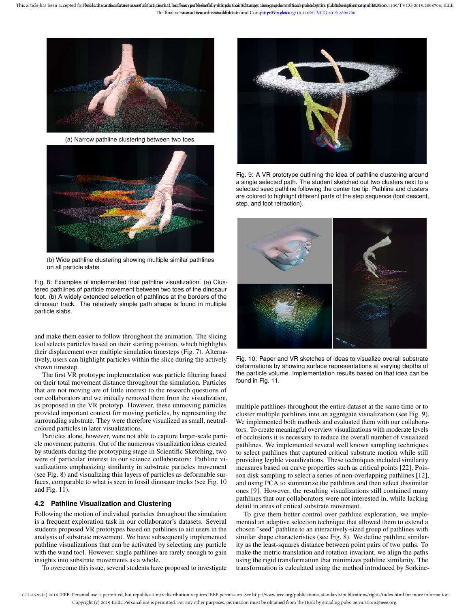

(a) Narrow pathline clustering between two toes.



(b) Wide pathline clustering showing multiple similar pathlines on all particle slabs.

Fig. 8: Examples of implemented final pathline visualization. (a) Clustered pathlines of particle movement between two toes of the dinosaur foot. (b) A widely extended selection of pathlines at the borders of the dinosaur track. The relatively simple path shape is found in multiple particle slabs.

and make them easier to follow throughout the animation. The slicing tool selects particles based on their starting position, which highlights their displacement over multiple simulation timesteps (Fig. 7). Alternatively, users can highlight particles within the slice during the actively shown timestep.

The first VR prototype implementation was particle filtering based on their total movement distance throughout the simulation. Particles that are not moving are of little interest to the research questions of our collaborators and we initially removed them from the visualization, as proposed in the VR prototyp. However, these unmoving particles provided important context for moving particles, by representing the surrounding substrate. They were therefore visualized as small, neutralcolored particles in later visualizations.

Particles alone, however, were not able to capture larger-scale particle movement patterns. Out of the numerous visualization ideas created by students during the prototyping stage in Scientific Sketching, two were of particular interest to our science collaborators: Pathline visualizations emphasizing similarity in substrate particles movement (see Fig. 8) and visualizing thin layers of particles as deformable surfaces, comparable to what is seen in fossil dinosaur tracks (see Fig. 10 and Fig. 11).

#### **4.2 Pathline Visualization and Clustering**

Following the motion of individual particles throughout the simulation is a frequent exploration task in our collaborator's datasets. Several students proposed VR prototypes based on pathlines to aid users in the analysis of substrate movement. We have subsequently implemented pathline visualizations that can be activated by selecting any particle with the wand tool. However, single pathlines are rarely enough to gain insights into substrate movements as a whole.

To overcome this issue, several students have proposed to investigate



Fig. 9: A VR prototype outlining the idea of pathline clustering around a single selected path. The student sketched out two clusters next to a selected seed pathline following the center toe tip. Pathline and clusters are colored to highlight different parts of the step sequence (foot descent, step, and foot retraction).



Fig. 10: Paper and VR sketches of ideas to visualize overall substrate deformations by showing surface representations at varying depths of the particle volume. Implementation results based on that idea can be found in Fig. 11.

multiple pathlines throughout the entire dataset at the same time or to cluster multiple pathlines into an aggregate visualization (see Fig. 9). We implemented both methods and evaluated them with our collaborators. To create meaningful overview visualizations with moderate levels of occlusions it is necessary to reduce the overall number of visualized pathlines. We implemented several well known sampling techniques to select pathlines that captured critical substrate motion while still providing legible visualizations. These techniques included similarity measures based on curve properties such as critical points [22], Poisson disk sampling to select a series of non-overlapping pathlines [12], and using PCA to summarize the pathlines and then select dissimilar ones [9]. However, the resulting visualizations still contained many pathlines that our collaborators were not interested in, while lacking detail in areas of critical substrate movement.

To give them better control over pathline exploration, we implemented an adaptive selection technique that allowed them to extend a chosen "seed" pathline to an interactively-sized group of pathlines with similar shape characteristics (see Fig. 8). We define pathline similarity as the least-squares distance between point pairs of two paths. To make the metric translation and rotation invariant, we align the paths using the rigid transformation that minimizes pathline similarity. The transformation is calculated using the method introduced by Sorkine-

1077-2626 (c) 2018 IEEE. Personal use is permitted, but republication/redistribution requires IEEE permission. See http://www.ieee.org/publications\_standards/publications/rights/index.html for more information. Copyright (c) 2019 IEEE. Personal use is permitted. For any other purposes, permission must be obtained from the IEEE by emailing pubs-permissions@ieee.org.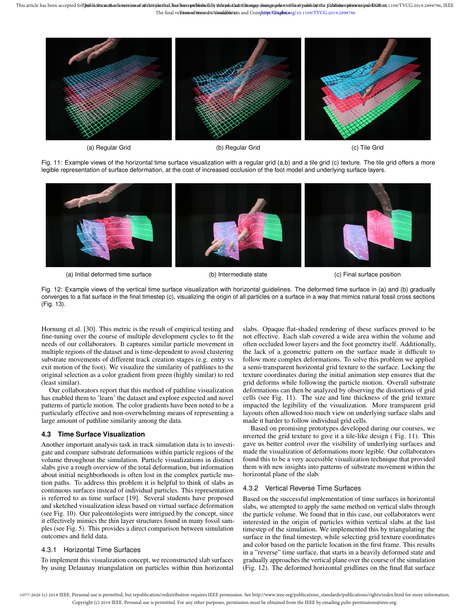

(a) Regular Grid (b) Regular Grid (c) Tile Grid

Fig. 11: Example views of the horizontal time surface visualization with a regular grid (a,b) and a tile grid (c) texture. The tile grid offers a more legible representation of surface deformation, at the cost of increased occlusion of the foot model and underlying surface layers.



(a) Initial deformed time surface (b) Intermediate state (c) Final surface position

Fig. 12: Example views of the vertical time surface visualization with horizontal guidelines. The deformed time surface in (a) and (b) gradually converges to a flat surface in the final timestep (c), visualizing the origin of all particles on a surface in a way that mimics natural fossil cross sections (Fig. 13).

Hornung et al. [30]. This metric is the result of empirical testing and fine-tuning over the course of multiple development cycles to fit the needs of our collaborators. It captures similar particle movement in multiple regions of the dataset and is time-dependent to avoid clustering substrate movements of different track creation stages (e.g. entry vs exit motion of the foot). We visualize the similarity of pathlines to the original selection as a color gradient from green (highly similar) to red (least similar).

Our collaborators report that this method of pathline visualization has enabled them to 'learn' the dataset and explore expected and novel patterns of particle motion. The color gradients have been noted to be a particularly effective and non-overwhelming means of representing a large amount of pathline similarity among the data.

## **4.3 Time Surface Visualization**

Another important analysis task in track simulation data is to investigate and compare substrate deformations within particle regions of the volume throughout the simulation. Particle visualizations in distinct slabs give a rough overview of the total deformation, but information about initial neighborhoods is often lost in the complex particle motion paths. To address this problem it is helpful to think of slabs as continuous surfaces instead of individual particles. This representation is referred to as time surface [19]. Several students have proposed and sketched visualization ideas based on virtual surface deformation (see Fig. 10). Our paleontologists were intrigued by the concept, since it effectively mimics the thin layer structures found in many fossil samples (see Fig. 5). This provides a direct comparison between simulation outcomes and field data.

## 4.3.1 Horizontal Time Surfaces

To implement this visualization concept, we reconstructed slab surfaces by using Delaunay triangulation on particles within thin horizontal slabs. Opaque flat-shaded rendering of these surfaces proved to be not effective. Each slab covered a wide area within the volume and often occluded lower layers and the foot geometry itself. Additionally, the lack of a geometric pattern on the surface made it difficult to follow more complex deformations. To solve this problem we applied a semi-transparent horizontal grid texture to the surface. Locking the texture coordinates during the initial animation step ensures that the grid deforms while following the particle motion. Overall substrate deformations can then be analyzed by observing the distortions of grid cells (see Fig. 11). The size and line thickness of the grid texture impacted the legibility of the visualization. More transparent grid layouts often allowed too much view on underlying surface slabs and made it harder to follow individual grid cells.

Based on promising prototypes developed during our courses, we inverted the grid texture to give it a tile-like design ( Fig. 11). This gave us better control over the visibility of underlying surfaces and made the visualization of deformations more legible. Our collaborators found this to be a very accessible visualization technique that provided them with new insights into patterns of substrate movement within the horizontal plane of the slab.

## 4.3.2 Vertical Reverse Time Surfaces

Based on the successful implementation of time surfaces in horizontal slabs, we attempted to apply the same method on vertical slabs through the particle volume. We found that in this case, our collaborators were interested in the origin of particles within vertical slabs at the last timestep of the simulation. We implemented this by triangulating the surface in the final timestep, while selecting grid texture coordinates and color based on the particle location in the first frame. This results in a "reverse" time surface, that starts in a heavily deformed state and gradually approaches the vertical plane over the course of the simulation (Fig. 12). The deformed horizontal gridlines on the final flat surface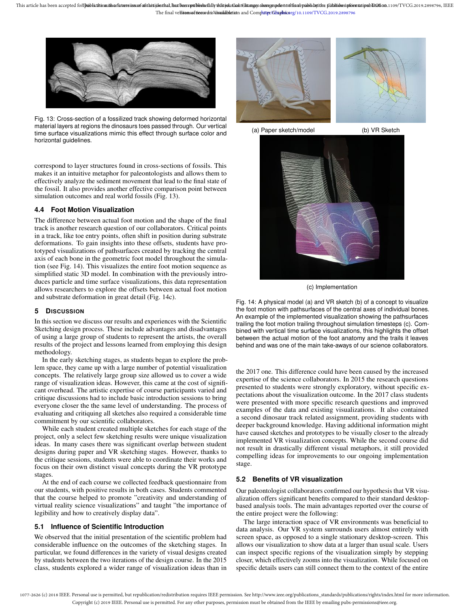

Fig. 13: Cross-section of a fossilized track showing deformed horizontal material layers at regions the dinosaurs toes passed through. Our vertical time surface visualizations mimic this effect through surface color and horizontal guidelines.

correspond to layer structures found in cross-sections of fossils. This makes it an intuitive metaphor for paleontologists and allows them to effectively analyze the sediment movement that lead to the final state of the fossil. It also provides another effective comparison point between simulation outcomes and real world fossils (Fig. 13).

#### **4.4 Foot Motion Visualization**

The difference between actual foot motion and the shape of the final track is another research question of our collaborators. Critical points in a track, like toe entry points, often shift in position during substrate deformations. To gain insights into these offsets, students have prototyped visualizations of pathsurfaces created by tracking the central axis of each bone in the geometric foot model throughout the simulation (see Fig. 14). This visualizes the entire foot motion sequence as simplified static 3D model. In combination with the previously introduces particle and time surface visualizations, this data representation allows researchers to explore the offsets between actual foot motion and substrate deformation in great detail (Fig. 14c).

#### **5 DISCUSSION**

In this section we discuss our results and experiences with the Scientific Sketching design process. These include advantages and disadvantages of using a large group of students to represent the artists, the overall results of the project and lessons learned from employing this design methodology.

In the early sketching stages, as students began to explore the problem space, they came up with a large number of potential visualization concepts. The relatively large group size allowed us to cover a wide range of visualization ideas. However, this came at the cost of significant overhead. The artistic expertise of course participants varied and critique discussions had to include basic introduction sessions to bring everyone closer the the same level of understanding. The process of evaluating and critiquing all sketches also required a considerable time commitment by our scientific collaborators.

While each student created multiple sketches for each stage of the project, only a select few sketching results were unique visualization ideas. In many cases there was significant overlap between student designs during paper and VR sketching stages. However, thanks to the critique sessions, students were able to coordinate their works and focus on their own distinct visual concepts during the VR prototype stages.

At the end of each course we collected feedback questionnaire from our students, with positive results in both cases. Students commented that the course helped to promote "creativity and understanding of virtual reality science visualizations" and taught "the importance of legibility and how to creatively display data".

## **5.1 Influence of Scientific Introduction**

We observed that the initial presentation of the scientific problem had considerable influence on the outcomes of the sketching stages. In particular, we found differences in the variety of visual designs created by students between the two iterations of the design course. In the 2015 class, students explored a wider range of visualization ideas than in





(a) Paper sketch/model (b) VR Sketch



(c) Implementation

Fig. 14: A physical model (a) and VR sketch (b) of a concept to visualize the foot motion with pathsurfaces of the central axes of individual bones. An example of the implemented visualization showing the pathsurfaces trailing the foot motion trailing throughout simulation timesteps (c). Combined with vertical time surface visualizations, this highlights the offset between the actual motion of the foot anatomy and the trails it leaves behind and was one of the main take-aways of our science collaborators.

the 2017 one. This difference could have been caused by the increased expertise of the science collaborators. In 2015 the research questions presented to students were strongly exploratory, without specific expectations about the visualization outcome. In the 2017 class students were presented with more specific research questions and improved examples of the data and existing visualizations. It also contained a second dinosaur track related assignment, providing students with deeper background knowledge. Having additional information might have caused sketches and prototypes to be visually closer to the already implemented VR visualization concepts. While the second course did not result in drastically different visual metaphors, it still provided compelling ideas for improvements to our ongoing implementation stage.

## **5.2 Benefits of VR visualization**

Our paleontologist collaborators confirmed our hypothesis that VR visualization offers significant benefits compared to their standard desktopbased analysis tools. The main advantages reported over the course of the entire project were the following:

The large interaction space of VR environments was beneficial to data analysis. Our VR system surrounds users almost entirely with screen space, as opposed to a single stationary desktop-screen. This allows our visualization to show data at a larger than usual scale. Users can inspect specific regions of the visualization simply by stepping closer, which effectively zooms into the visualization. While focused on specific details users can still connect them to the context of the entire

<sup>1077-2626 (</sup>c) 2018 IEEE. Personal use is permitted, but republication/redistribution requires IEEE permission. See http://www.ieee.org/publications\_standards/publications/rights/index.html for more information. Copyright (c) 2019 IEEE. Personal use is permitted. For any other purposes, permission must be obtained from the IEEE by emailing pubs-permissions@ieee.org.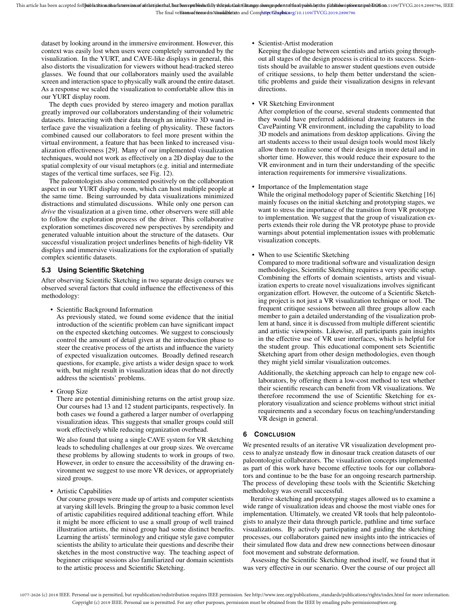dataset by looking around in the immersive environment. However, this context was easily lost when users were completely surrounded by the visualization. In the YURT, and CAVE-like displays in general, this also distorts the visualization for viewers without head-tracked stereo glasses. We found that our collaborators mainly used the available screen and interaction space to physically walk around the entire dataset. As a response we scaled the visualization to comfortable allow this in our YURT display room.

The depth cues provided by stereo imagery and motion parallax greatly improved our collaborators understanding of their volumetric datasets. Interacting with their data through an intuitive 3D wand interface gave the visualization a feeling of physicality. These factors combined caused our collaborators to feel more present within the virtual environment, a feature that has been linked to increased visualization effectiveness [29]. Many of our implemented visualization techniques, would not work as effectively on a 2D display due to the spatial complexity of our visual metaphors (e.g. initial and intermediate stages of the vertical time surfaces, see Fig. 12).

The paleontologists also commented positively on the collaboration aspect in our YURT display room, which can host multiple people at the same time. Being surrounded by data visualizations minimized distractions and stimulated discussions. While only one person can *drive* the visualization at a given time, other observers were still able to follow the exploration process of the driver. This collaborative exploration sometimes discovered new perspectives by serendipity and generated valuable intuition about the structure of the datasets. Our successful visualization project underlines benefits of high-fidelity VR displays and immersive visualizations for the exploration of spatially complex scientific datasets.

## **5.3 Using Scientific Sketching**

After observing Scientific Sketching in two separate design courses we observed several factors that could influence the effectiveness of this methodology:

• Scientific Background Information

As previously stated, we found some evidence that the initial introduction of the scientific problem can have significant impact on the expected sketching outcomes. We suggest to consciously control the amount of detail given at the introduction phase to steer the creative process of the artists and influence the variety of expected visualization outcomes. Broadly defined research questions, for example, give artists a wider design space to work with, but might result in visualization ideas that do not directly address the scientists' problems.

• Group Size

There are potential diminishing returns on the artist group size. Our courses had 13 and 12 student participants, respectively. In both cases we found a gathered a larger number of overlapping visualization ideas. This suggests that smaller groups could still work effectively while reducing organization overhead.

We also found that using a single CAVE system for VR sketching leads to scheduling challenges at our group sizes. We overcame these problems by allowing students to work in groups of two. However, in order to ensure the accessibility of the drawing environment we suggest to use more VR devices, or appropriately sized groups.

• Artistic Capabilities

Our course groups were made up of artists and computer scientists at varying skill levels. Bringing the group to a basic common level of artistic capabilities required additional teaching effort. While it might be more efficient to use a small group of well trained illustration artists, the mixed group had some distinct benefits. Learning the artists' terminology and critique style gave computer scientists the ability to articulate their questions and describe their sketches in the most constructive way. The teaching aspect of beginner critique sessions also familiarized our domain scientists to the artistic process and Scientific Sketching.

• Scientist-Artist moderation

Keeping the dialogue between scientists and artists going throughout all stages of the design process is critical to its success. Scientists should be available to answer student questions even outside of critique sessions, to help them better understand the scientific problems and guide their visualization designs in relevant directions.

• VR Sketching Environment

After completion of the course, several students commented that they would have preferred additional drawing features in the CavePainting VR environment, including the capability to load 3D models and animations from desktop applications. Giving the art students access to their usual design tools would most likely allow them to realize some of their designs in more detail and in shorter time. However, this would reduce their exposure to the VR environment and in turn their understanding of the specific interaction requirements for immersive visualizations.

• Importance of the Implementation stage

While the original methodology paper of Scientific Sketching [16] mainly focuses on the initial sketching and prototyping stages, we want to stress the importance of the transition from VR prototype to implementation. We suggest that the group of visualization experts extends their role during the VR prototype phase to provide warnings about potential implementation issues with problematic visualization concepts.

• When to use Scientific Sketching

Compared to more traditional software and visualization design methodologies, Scientific Sketching requires a very specific setup. Combining the efforts of domain scientists, artists and visualization experts to create novel visualizations involves significant organization effort. However, the outcome of a Scientific Sketching project is not just a VR visualization technique or tool. The frequent critique sessions between all three groups allow each member to gain a detailed understanding of the visualization problem at hand, since it is discussed from multiple different scientific and artistic viewpoints. Likewise, all participants gain insights in the effective use of VR user interfaces, which is helpful for the student group. This educational component sets Scientific Sketching apart from other design methodologies, even though they might yield similar visualization outcomes.

Additionally, the sketching approach can help to engage new collaborators, by offering them a low-cost method to test whether their scientific research can benefit from VR visualizations. We therefore recommend the use of Scientific Sketching for exploratory visualization and science problems without strict initial requirements and a secondary focus on teaching/understanding VR design in general.

# **6 CONCLUSION**

We presented results of an iterative VR visualization development process to analyze unsteady flow in dinosaur track creation datasets of our paleontologist collaborators. The visualization concepts implemented as part of this work have become effective tools for our collaborators and continue to be the base for an ongoing research partnership. The process of developing these tools with the Scientific Sketching methodology was overall successful.

Iterative sketching and prototyping stages allowed us to examine a wide range of visualization ideas and choose the most viable ones for implementation. Ultimately, we created VR tools that help paleontologists to analyze their data through particle, pathline and time surface visualizations. By actively participating and guiding the sketching processes, our collaborators gained new insights into the intricacies of their simulated flow data and drew new connections between dinosaur foot movement and substrate deformation.

Assessing the Scientific Sketching method itself, we found that it was very effective in our scenario. Over the course of our project all